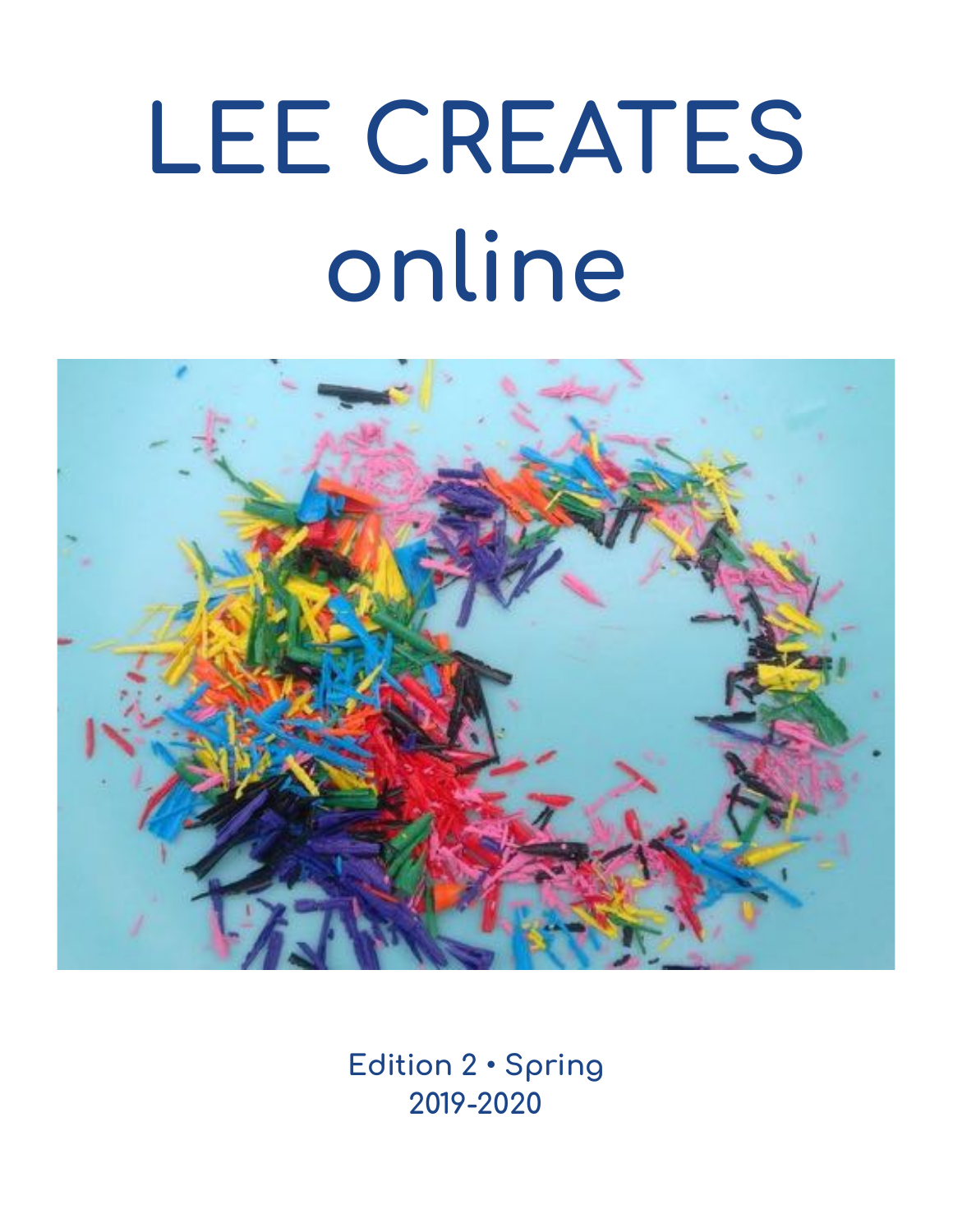# **LEE CREATES online**



**Edition 2 • Spring 2019-2020**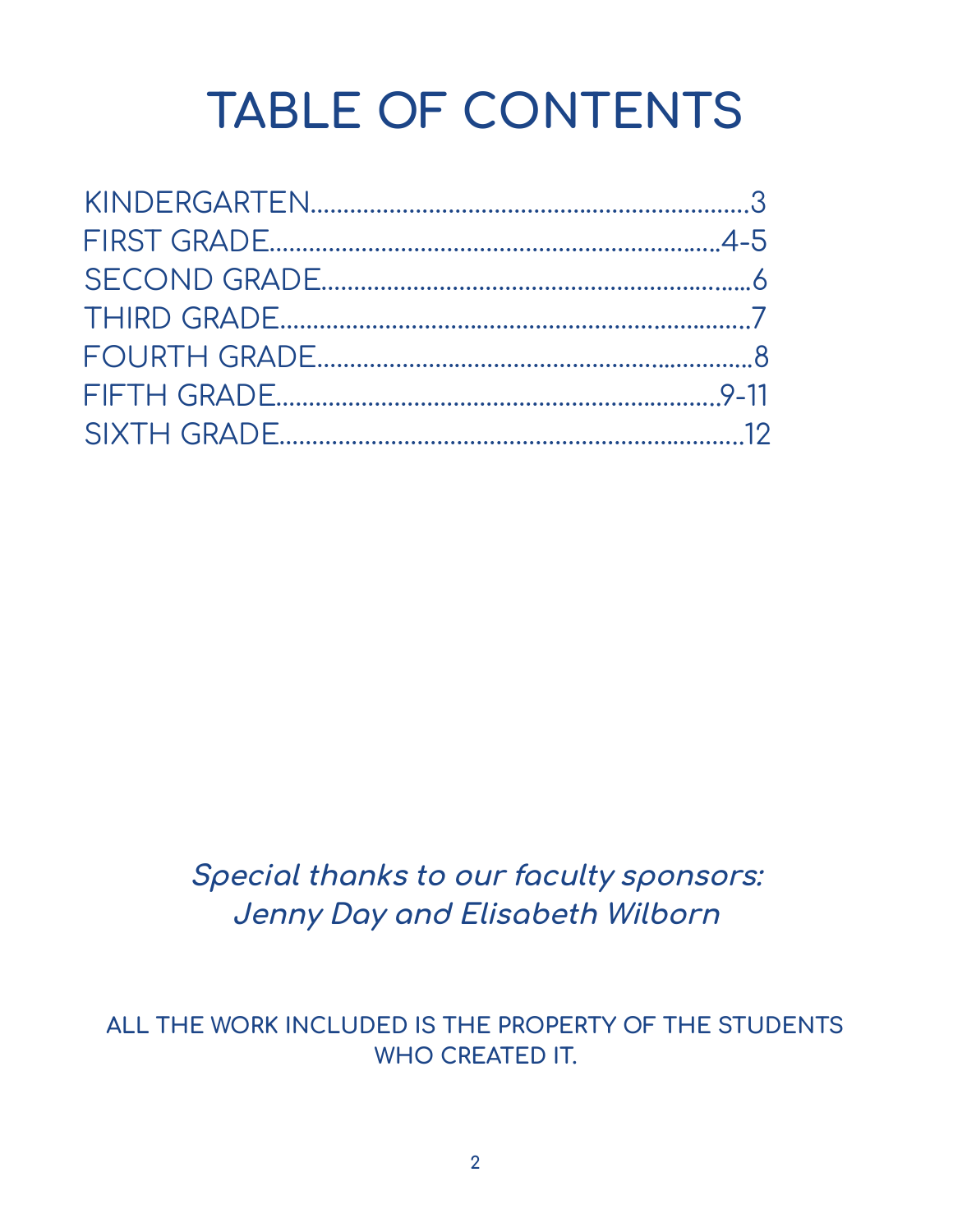# **TABLE OF CONTENTS**

**Special thanks to our faculty sponsors: Jenny Day and Elisabeth Wilborn**

**ALL THE WORK INCLUDED IS THE PROPERTY OF THE STUDENTS WHO CREATED IT.**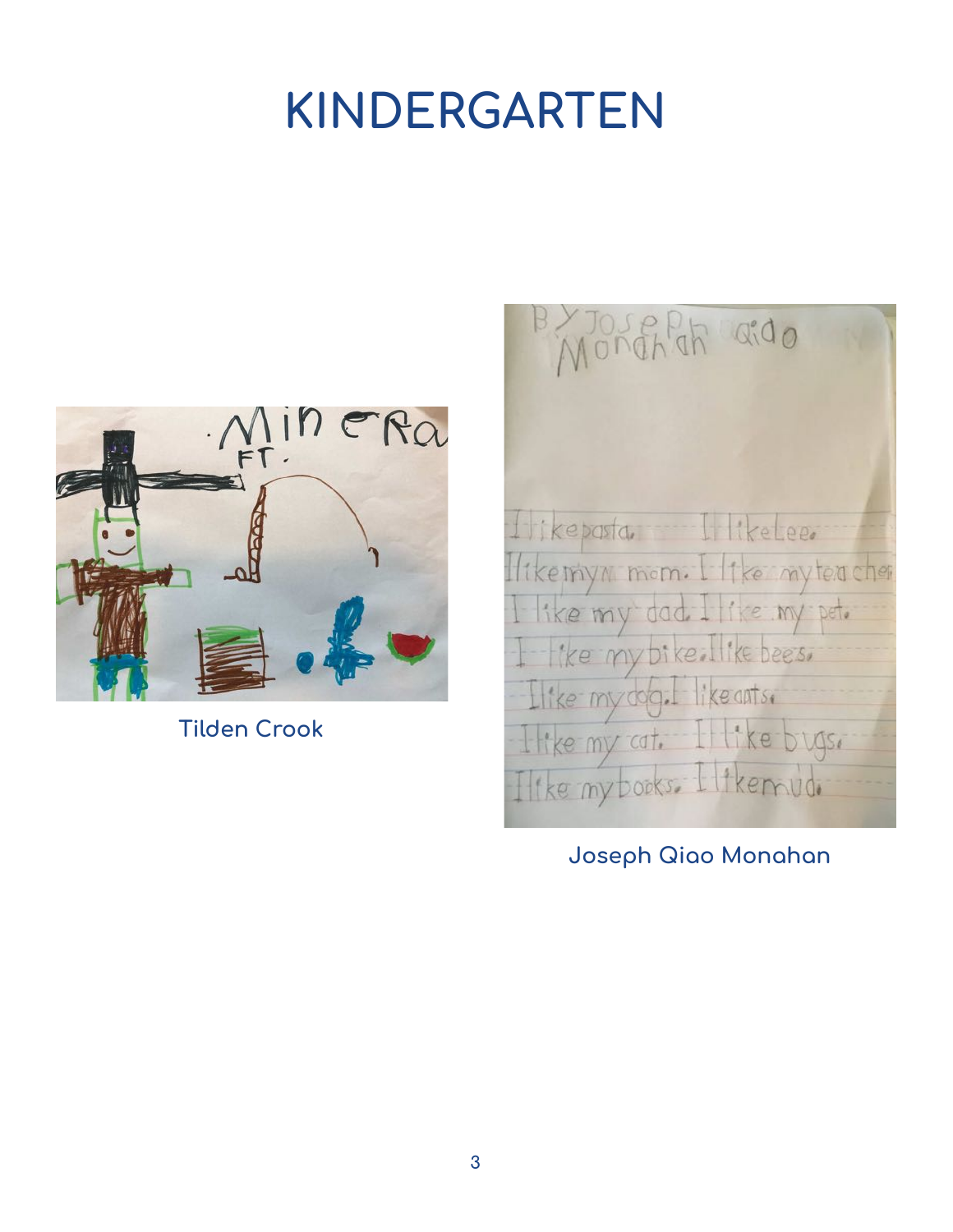# **KINDERGARTEN**



**Tilden Crook**

BYJOSEPH aido fikepasta IlkeLee. ikemyn mom. I like mytencher ike my dad. I like my pet.<br>Tike my bike. Ilike bees. Ilike myddy. likeantsi like my cat. Il like bugs. Ilike my books. Ilikemud.

**Joseph Qiao Monahan**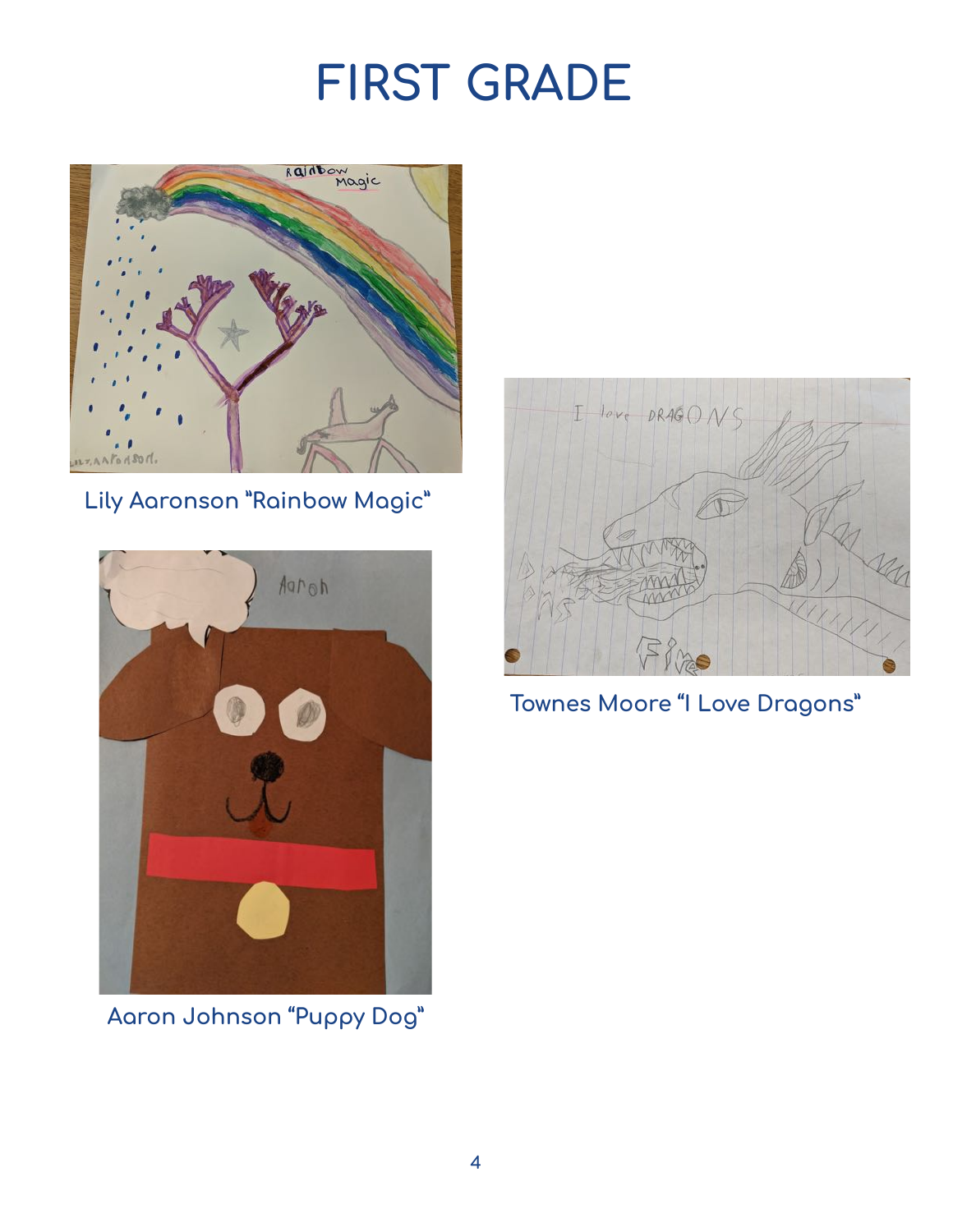## **FIRST GRADE**



**Lily Aaronson "Rainbow Magic"**



**Aaron Johnson "Puppy Dog"**



**Townes Moore "I Love Dragons"**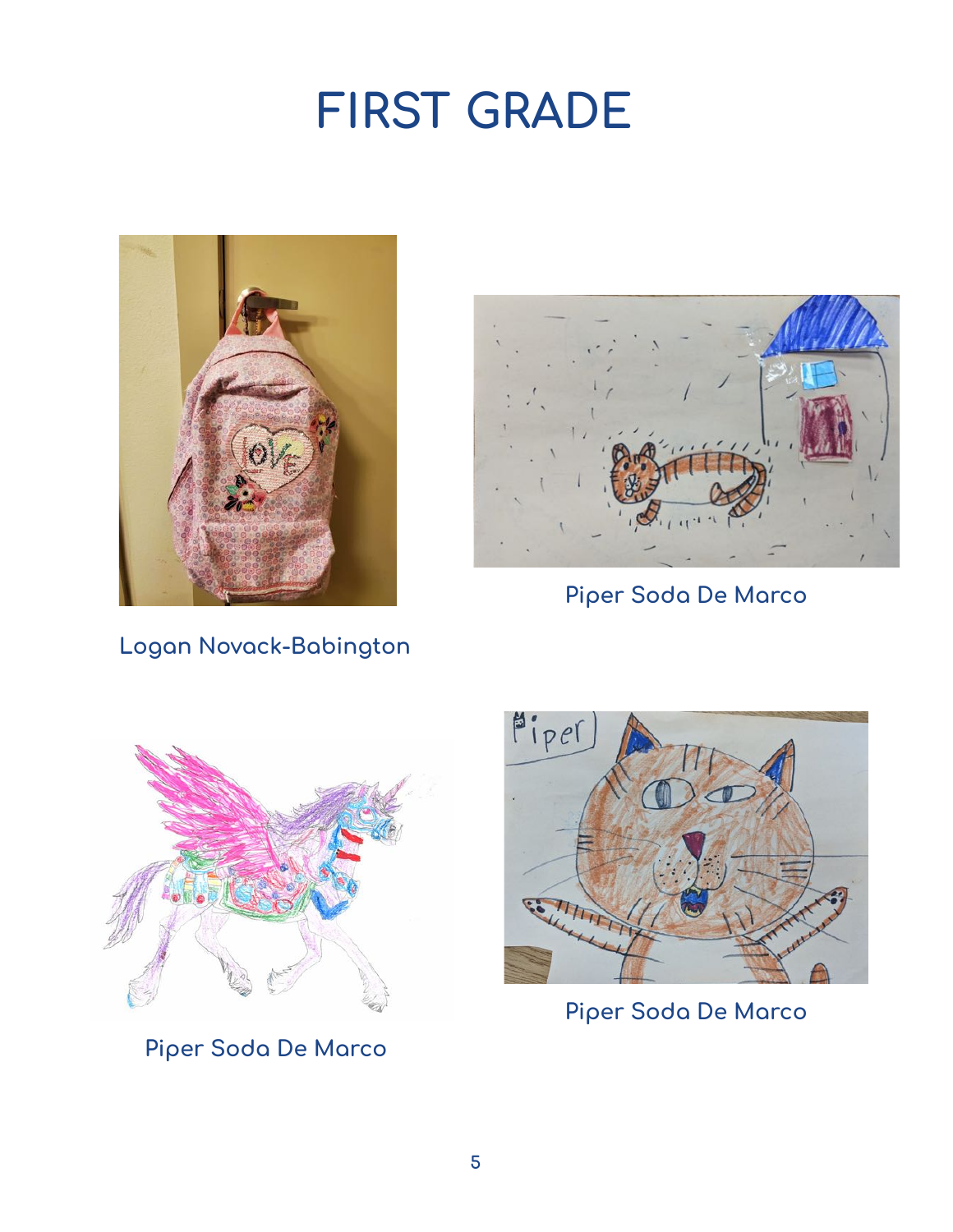## **FIRST GRADE**





**Piper Soda De Marco**

**Logan Novack-Babington** 



**Piper Soda De Marco**



**Piper Soda De Marco**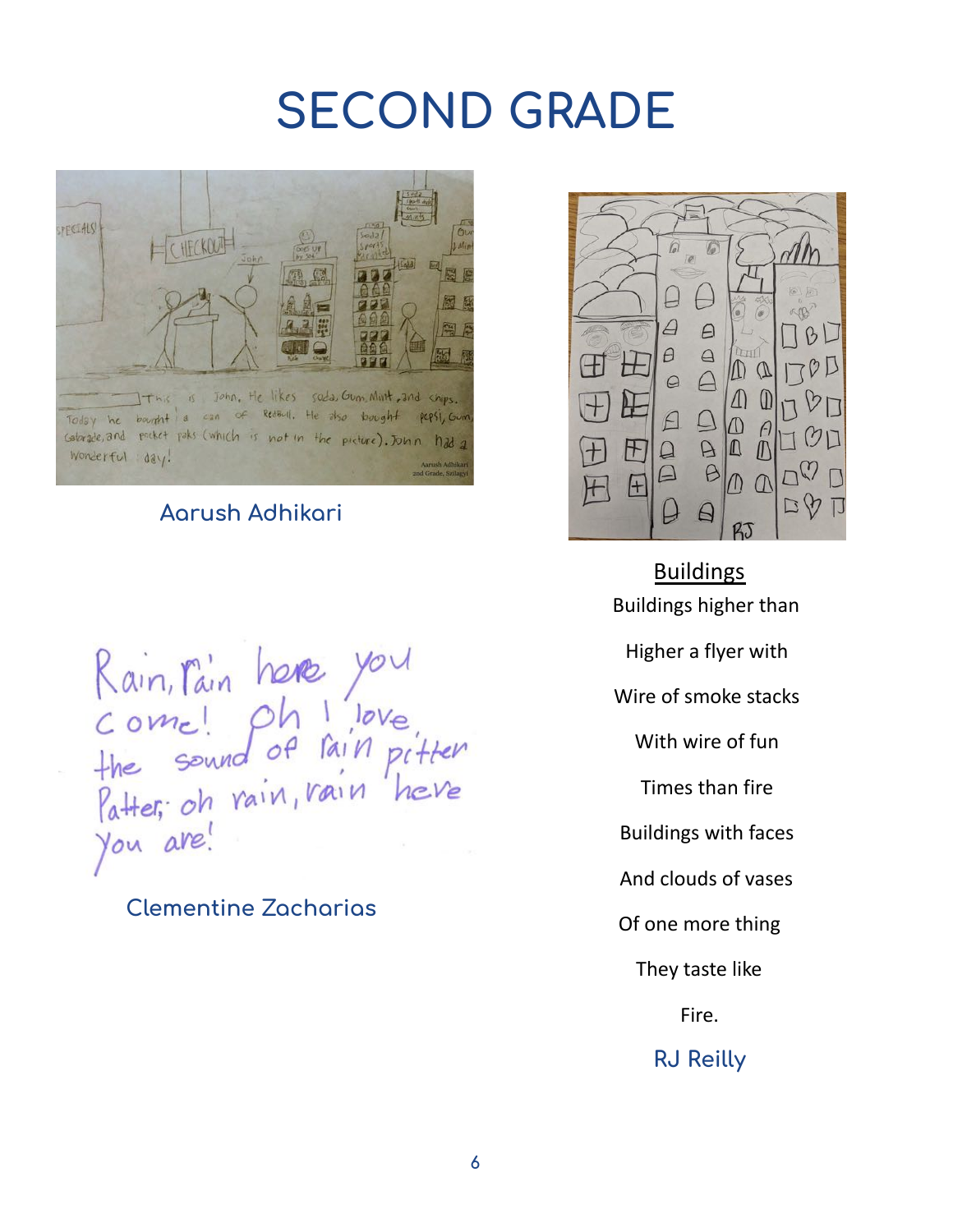### **SECOND GRADE**



#### **Aarush Adhikari**

Rain, Pain here you<br>Come! Oh I love<br>the sound of Pain pitter<br>Patter, oh rain, rain here<br>You are!

### **Clementine Zacharias**



Buildings Buildings higher than Higher a flyer with Wire of smoke stacks With wire of fun Times than fire Buildings with faces And clouds of vases Of one more thing They taste like Fire.

#### **RJ Reilly**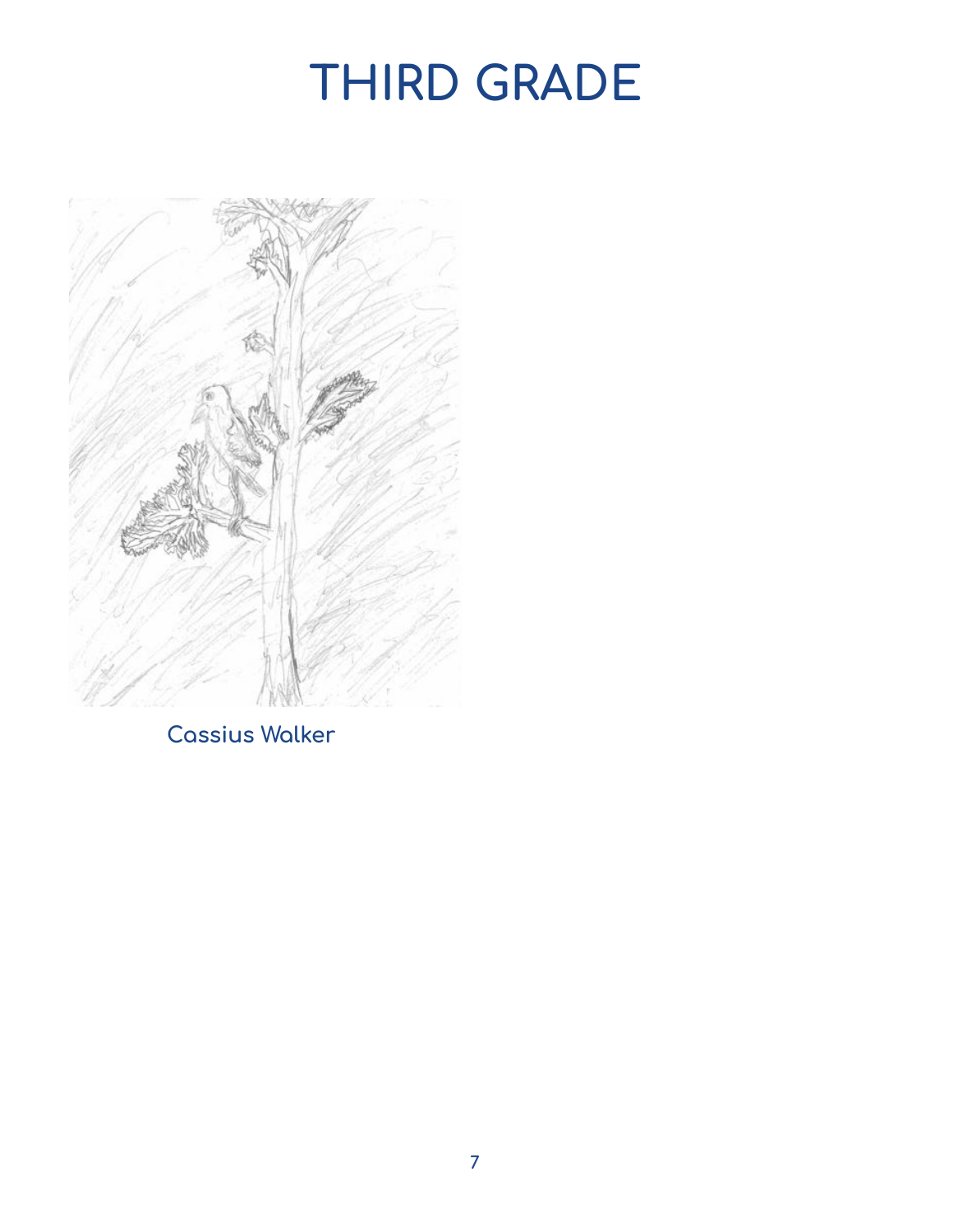# **THIRD GRADE**



**Cassius Walker**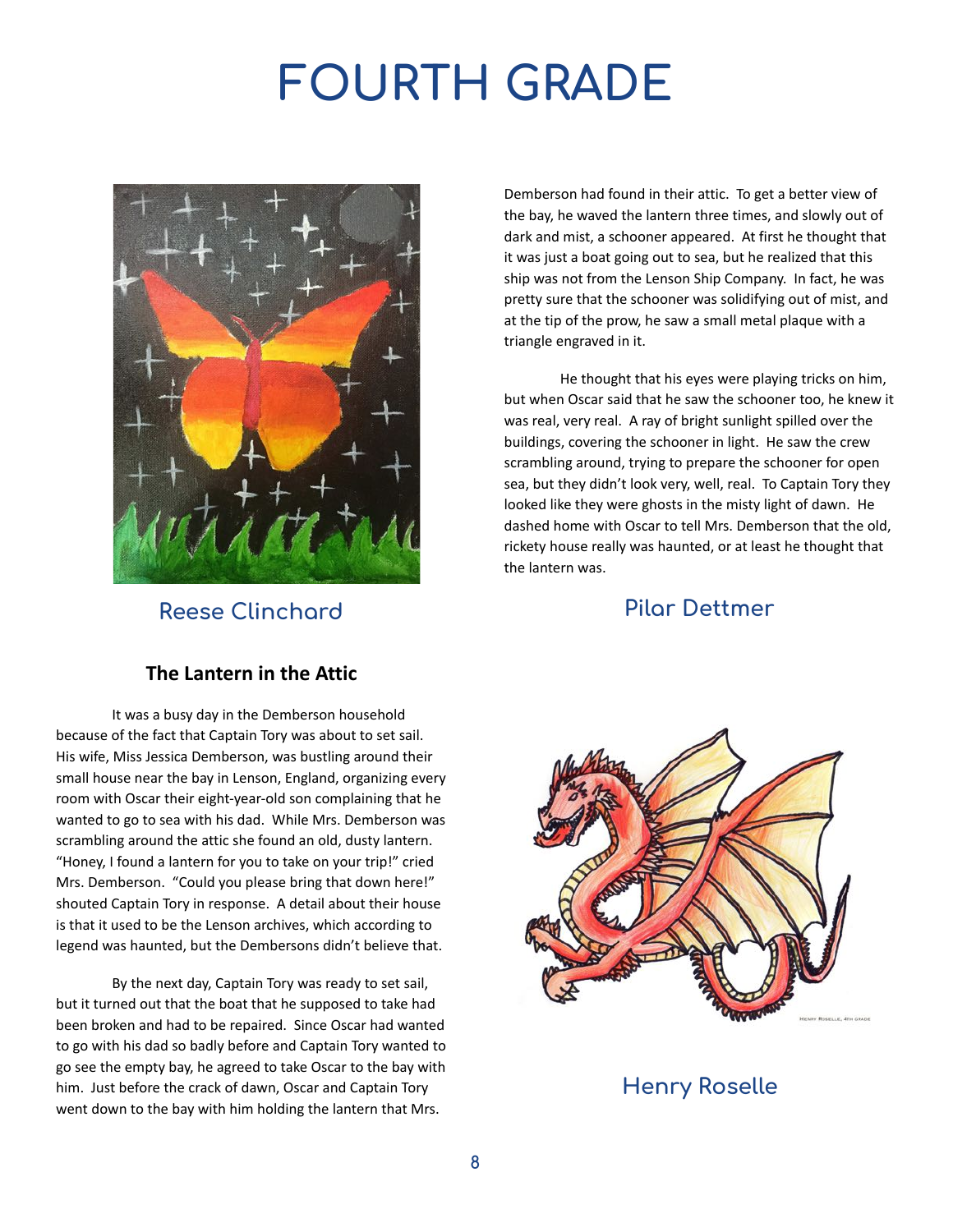# **FOURTH GRADE**



**Reese Clinchard**

Demberson had found in their attic. To get a better view of the bay, he waved the lantern three times, and slowly out of dark and mist, a schooner appeared. At first he thought that it was just a boat going out to sea, but he realized that this ship was not from the Lenson Ship Company. In fact, he was pretty sure that the schooner was solidifying out of mist, and at the tip of the prow, he saw a small metal plaque with a triangle engraved in it.

He thought that his eyes were playing tricks on him, but when Oscar said that he saw the schooner too, he knew it was real, very real. A ray of bright sunlight spilled over the buildings, covering the schooner in light. He saw the crew scrambling around, trying to prepare the schooner for open sea, but they didn't look very, well, real. To Captain Tory they looked like they were ghosts in the misty light of dawn. He dashed home with Oscar to tell Mrs. Demberson that the old, rickety house really was haunted, or at least he thought that the lantern was.

#### **Pilar Dettmer**

#### **The Lantern in the Attic**

It was a busy day in the Demberson household because of the fact that Captain Tory was about to set sail. His wife, Miss Jessica Demberson, was bustling around their small house near the bay in Lenson, England, organizing every room with Oscar their eight-year-old son complaining that he wanted to go to sea with his dad. While Mrs. Demberson was scrambling around the attic she found an old, dusty lantern. "Honey, I found a lantern for you to take on your trip!" cried Mrs. Demberson. "Could you please bring that down here!" shouted Captain Tory in response. A detail about their house is that it used to be the Lenson archives, which according to legend was haunted, but the Dembersons didn't believe that.

By the next day, Captain Tory was ready to set sail, but it turned out that the boat that he supposed to take had been broken and had to be repaired. Since Oscar had wanted to go with his dad so badly before and Captain Tory wanted to go see the empty bay, he agreed to take Oscar to the bay with him. Just before the crack of dawn, Oscar and Captain Tory went down to the bay with him holding the lantern that Mrs.



**Henry Roselle**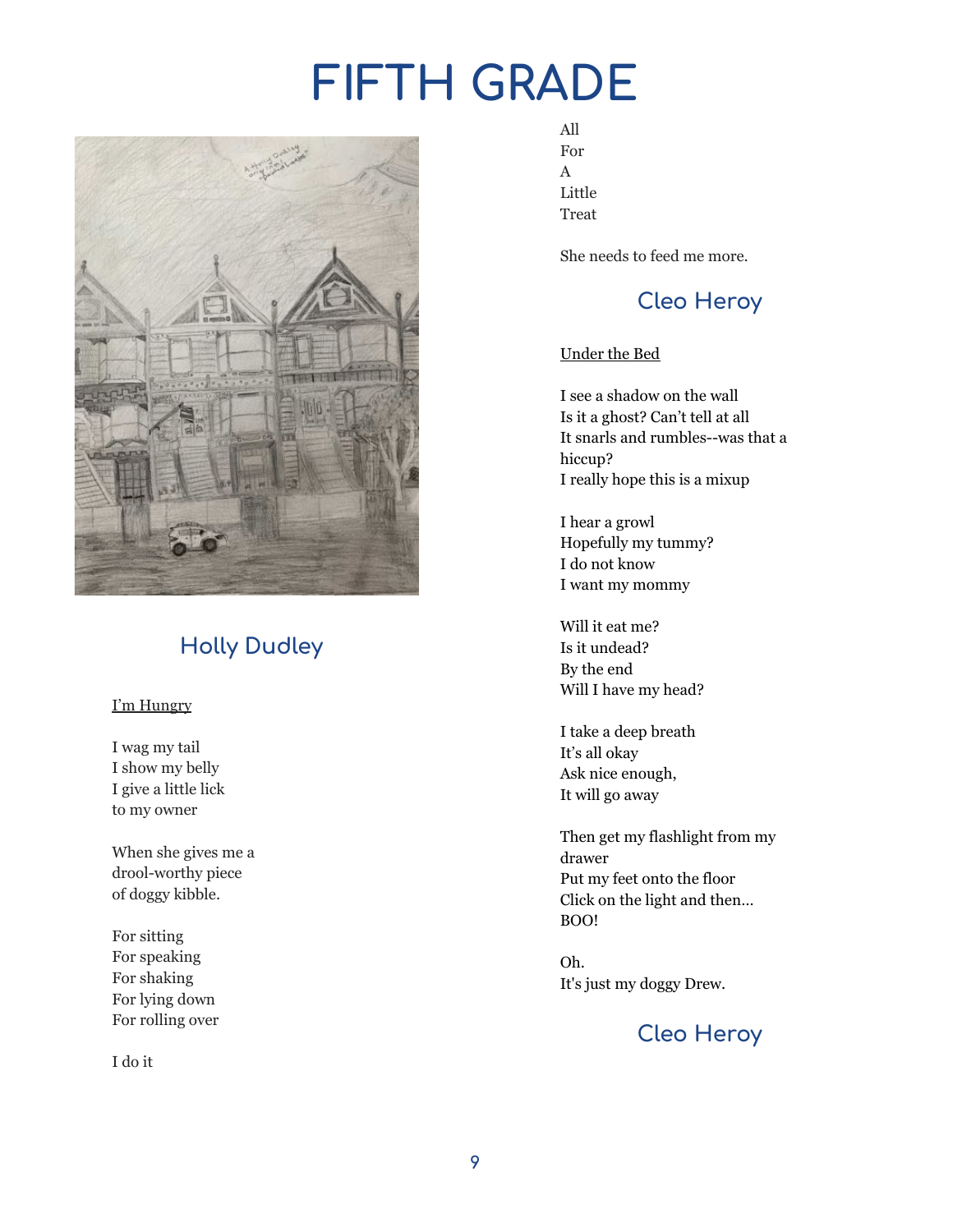# **FIFTH GRADE**



### **Holly Dudley**

#### I'm Hungry

I wag my tail I show my belly I give a little lick to my owner

When she gives me a drool-worthy piece of doggy kibble.

For sitting For speaking For shaking For lying down For rolling over

I do it

All For A Little Treat

She needs to feed me more.

### **Cleo Heroy**

#### Under the Bed

I see a shadow on the wall Is it a ghost? Can't tell at all It snarls and rumbles--was that a hiccup? I really hope this is a mixup

I hear a growl Hopefully my tummy? I do not know I want my mommy

Will it eat me? Is it undead? By the end Will I have my head?

I take a deep breath It's all okay Ask nice enough, It will go away

Then get my flashlight from my drawer Put my feet onto the floor Click on the light and then… BOO!

Oh. It's just my doggy Drew.

### **Cleo Heroy**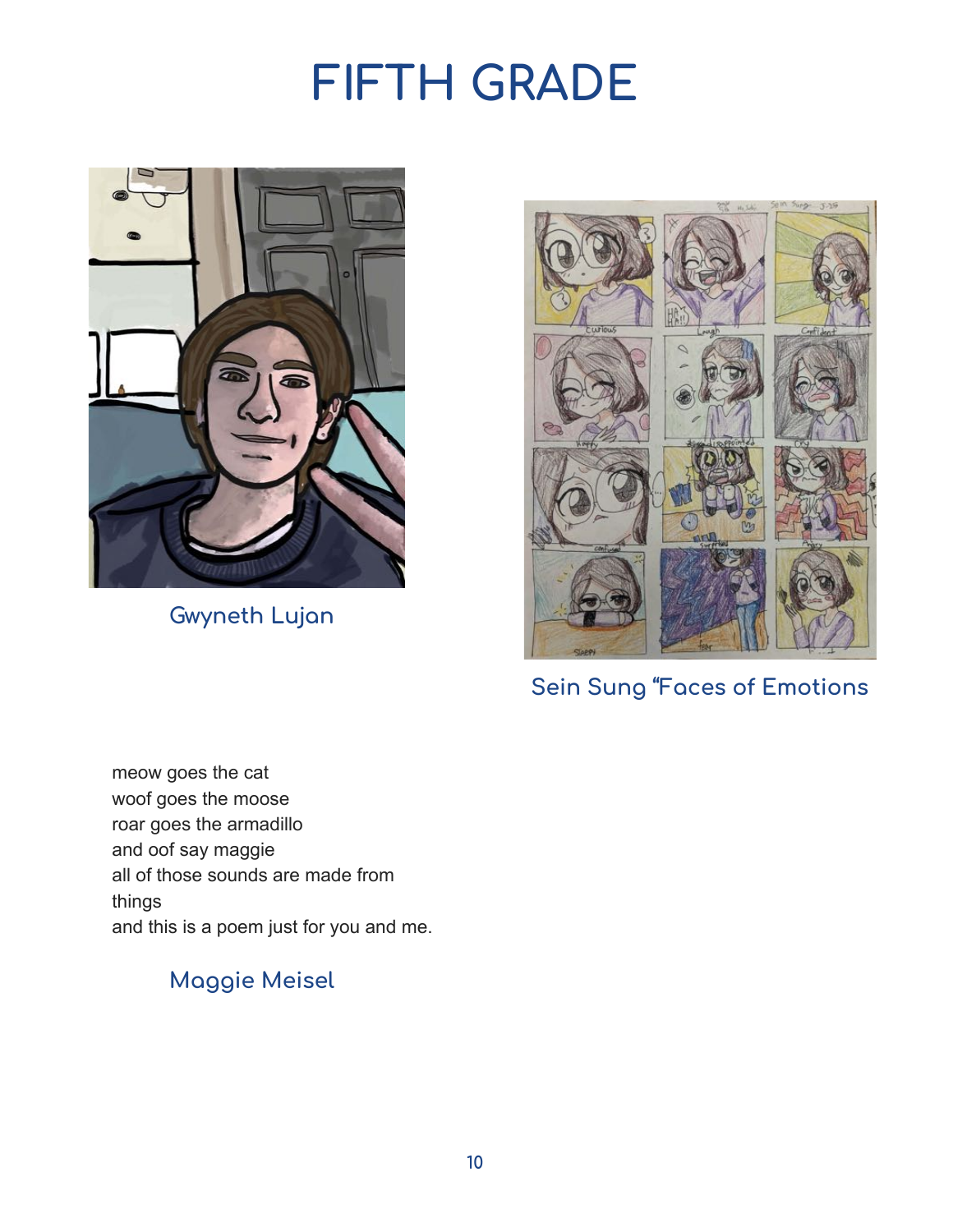## **FIFTH GRADE**



**Gwyneth Lujan** 



**Sein Sung "Faces of Emotions** 

meow goes the cat woof goes the moose roar goes the armadillo and oof say maggie all of those sounds are made from things and this is a poem just for you and me.

### **Maggie Meisel**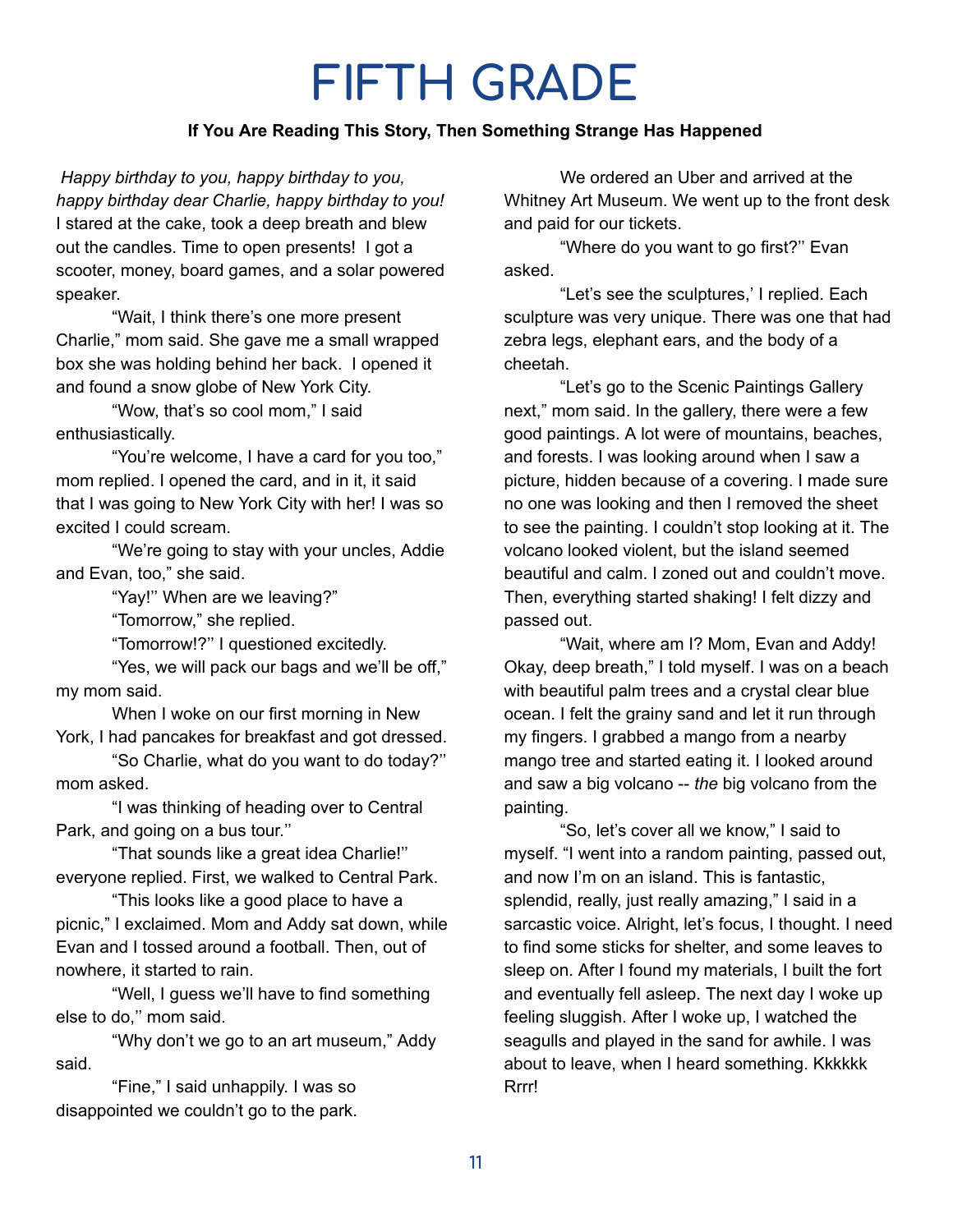### **FIFTH GRADE**

#### **If You Are Reading This Story, Then Something Strange Has Happened**

*Happy birthday to you, happy birthday to you, happy birthday dear Charlie, happy birthday to you!* I stared at the cake, took a deep breath and blew out the candles. Time to open presents! I got a scooter, money, board games, and a solar powered speaker.

"Wait, I think there's one more present Charlie," mom said. She gave me a small wrapped box she was holding behind her back. I opened it and found a snow globe of New York City.

"Wow, that's so cool mom," I said enthusiastically.

"You're welcome, I have a card for you too," mom replied. I opened the card, and in it, it said that I was going to New York City with her! I was so excited I could scream.

"We're going to stay with your uncles, Addie and Evan, too," she said.

"Yay!'' When are we leaving?"

"Tomorrow," she replied.

"Tomorrow!?'' I questioned excitedly.

"Yes, we will pack our bags and we'll be off," my mom said.

When I woke on our first morning in New York, I had pancakes for breakfast and got dressed.

"So Charlie, what do you want to do today?'' mom asked.

"I was thinking of heading over to Central Park, and going on a bus tour.''

"That sounds like a great idea Charlie!'' everyone replied. First, we walked to Central Park.

"This looks like a good place to have a picnic," I exclaimed. Mom and Addy sat down, while Evan and I tossed around a football. Then, out of nowhere, it started to rain.

"Well, I guess we'll have to find something else to do,'' mom said.

"Why don't we go to an art museum," Addy said.

"Fine," I said unhappily. I was so disappointed we couldn't go to the park.

We ordered an Uber and arrived at the Whitney Art Museum. We went up to the front desk and paid for our tickets.

"Where do you want to go first?'' Evan asked.

"Let's see the sculptures,' I replied. Each sculpture was very unique. There was one that had zebra legs, elephant ears, and the body of a cheetah.

"Let's go to the Scenic Paintings Gallery next," mom said. In the gallery, there were a few good paintings. A lot were of mountains, beaches, and forests. I was looking around when I saw a picture, hidden because of a covering. I made sure no one was looking and then I removed the sheet to see the painting. I couldn't stop looking at it. The volcano looked violent, but the island seemed beautiful and calm. I zoned out and couldn't move. Then, everything started shaking! I felt dizzy and passed out.

"Wait, where am I? Mom, Evan and Addy! Okay, deep breath," I told myself. I was on a beach with beautiful palm trees and a crystal clear blue ocean. I felt the grainy sand and let it run through my fingers. I grabbed a mango from a nearby mango tree and started eating it. I looked around and saw a big volcano -- *the* big volcano from the painting.

"So, let's cover all we know," I said to myself. "I went into a random painting, passed out, and now I'm on an island. This is fantastic, splendid, really, just really amazing," I said in a sarcastic voice. Alright, let's focus, I thought. I need to find some sticks for shelter, and some leaves to sleep on. After I found my materials, I built the fort and eventually fell asleep. The next day I woke up feeling sluggish. After I woke up, I watched the seagulls and played in the sand for awhile. I was about to leave, when I heard something. Kkkkkk Rrrr!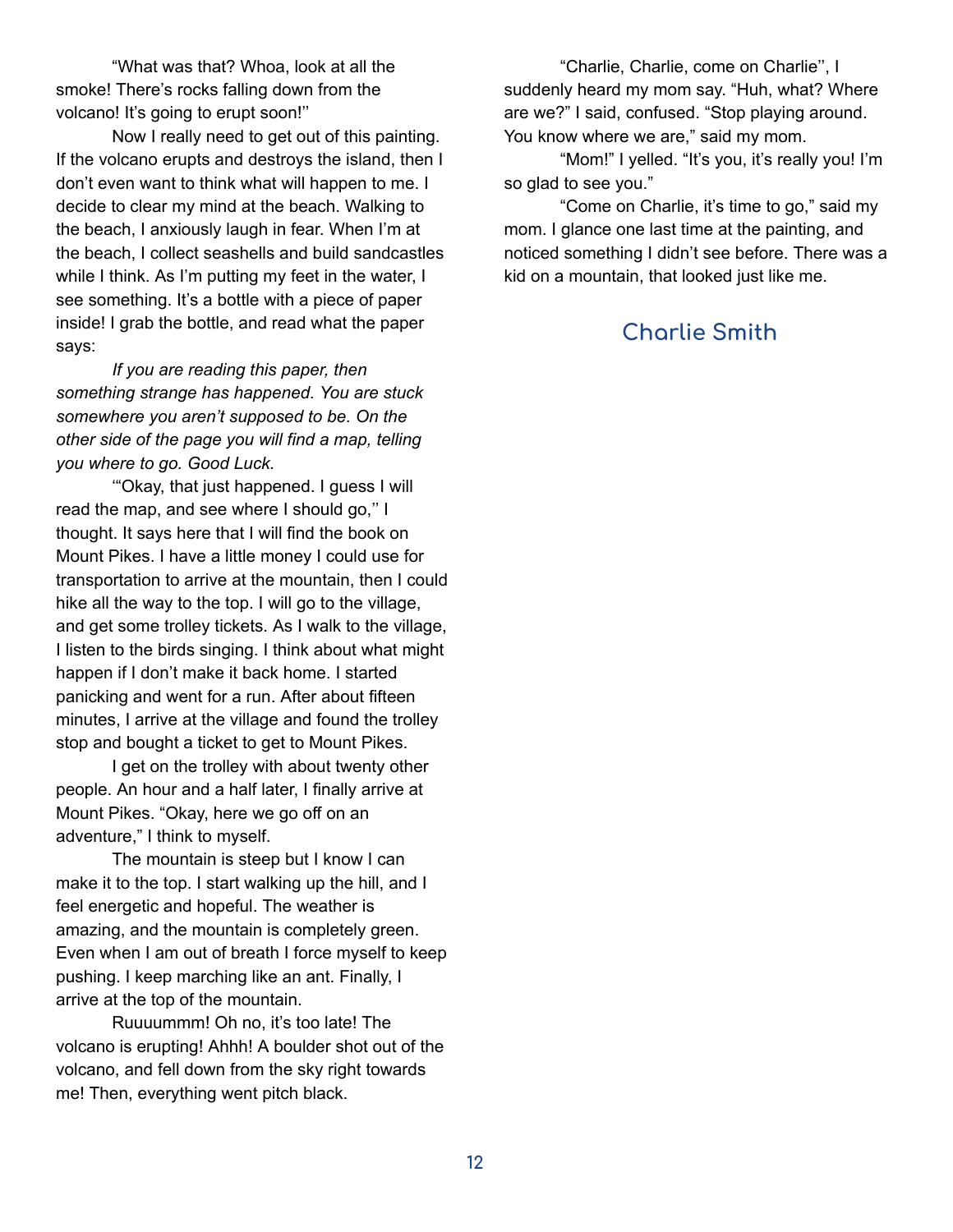"What was that? Whoa, look at all the smoke! There's rocks falling down from the volcano! It's going to erupt soon!''

Now I really need to get out of this painting. If the volcano erupts and destroys the island, then I don't even want to think what will happen to me. I decide to clear my mind at the beach. Walking to the beach, I anxiously laugh in fear. When I'm at the beach, I collect seashells and build sandcastles while I think. As I'm putting my feet in the water, I see something. It's a bottle with a piece of paper inside! I grab the bottle, and read what the paper says:

*If you are reading this paper, then something strange has happened. You are stuck somewhere you aren't supposed to be. On the other side of the page you will find a map, telling you where to go. Good Luck.*

'"Okay, that just happened. I guess I will read the map, and see where I should go,'' I thought. It says here that I will find the book on Mount Pikes. I have a little money I could use for transportation to arrive at the mountain, then I could hike all the way to the top. I will go to the village, and get some trolley tickets. As I walk to the village, I listen to the birds singing. I think about what might happen if I don't make it back home. I started panicking and went for a run. After about fifteen minutes, I arrive at the village and found the trolley stop and bought a ticket to get to Mount Pikes.

I get on the trolley with about twenty other people. An hour and a half later, I finally arrive at Mount Pikes. "Okay, here we go off on an adventure," I think to myself.

The mountain is steep but I know I can make it to the top. I start walking up the hill, and I feel energetic and hopeful. The weather is amazing, and the mountain is completely green. Even when I am out of breath I force myself to keep pushing. I keep marching like an ant. Finally, I arrive at the top of the mountain.

Ruuuummm! Oh no, it's too late! The volcano is erupting! Ahhh! A boulder shot out of the volcano, and fell down from the sky right towards me! Then, everything went pitch black.

"Charlie, Charlie, come on Charlie'', I suddenly heard my mom say. "Huh, what? Where are we?" I said, confused. "Stop playing around. You know where we are," said my mom.

"Mom!" I yelled. "It's you, it's really you! I'm so glad to see you."

"Come on Charlie, it's time to go," said my mom. I glance one last time at the painting, and noticed something I didn't see before. There was a kid on a mountain, that looked just like me.

### **Charlie Smith**